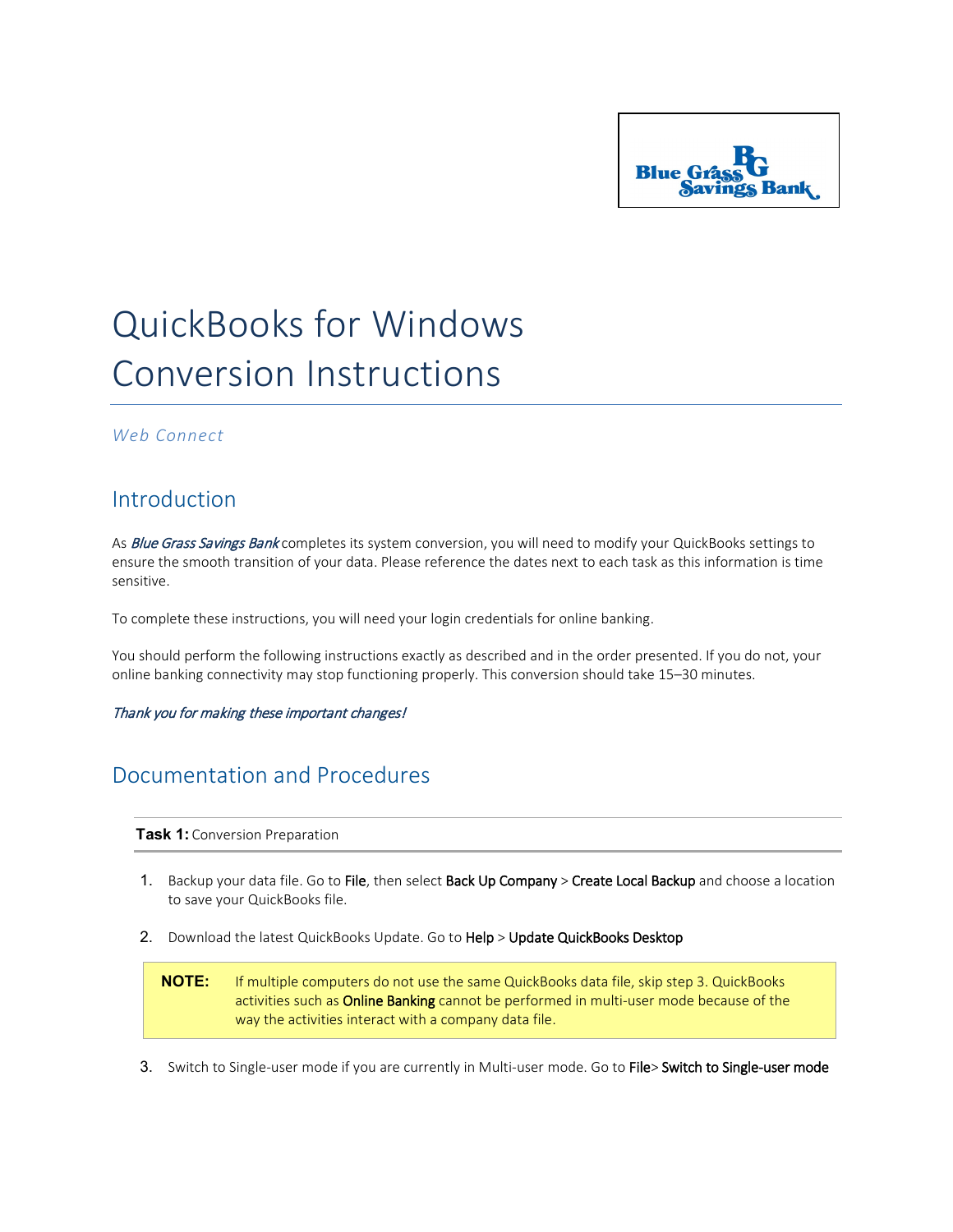

## QuickBooks for Windows Conversion Instructions

## *Web Connect*

## Introduction

As Blue Grass Savings Bank completes its system conversion, you will need to modify your QuickBooks settings to ensure the smooth transition of your data. Please reference the dates next to each task as this information is time sensitive.

To complete these instructions, you will need your login credentials for online banking.

You should perform the following instructions exactly as described and in the order presented. If you do not, your online banking connectivity may stop functioning properly. This conversion should take 15–30 minutes.

Thank you for making these important changes!

## Documentation and Procedures

**Task 1:** Conversion Preparation

- 1. Backup your data file. Go to File, then select Back Up Company > Create Local Backup and choose a location to save your QuickBooks file.
- 2. Download the latest QuickBooks Update. Go to Help > Update QuickBooks Desktop

**NOTE:** If multiple computers do not use the same QuickBooks data file, skip step 3. QuickBooks activities such as Online Banking cannot be performed in multi-user mode because of the way the activities interact with a company data file.

3. Switch to Single-user mode if you are currently in Multi-user mode. Go to File> Switch to Single-user mode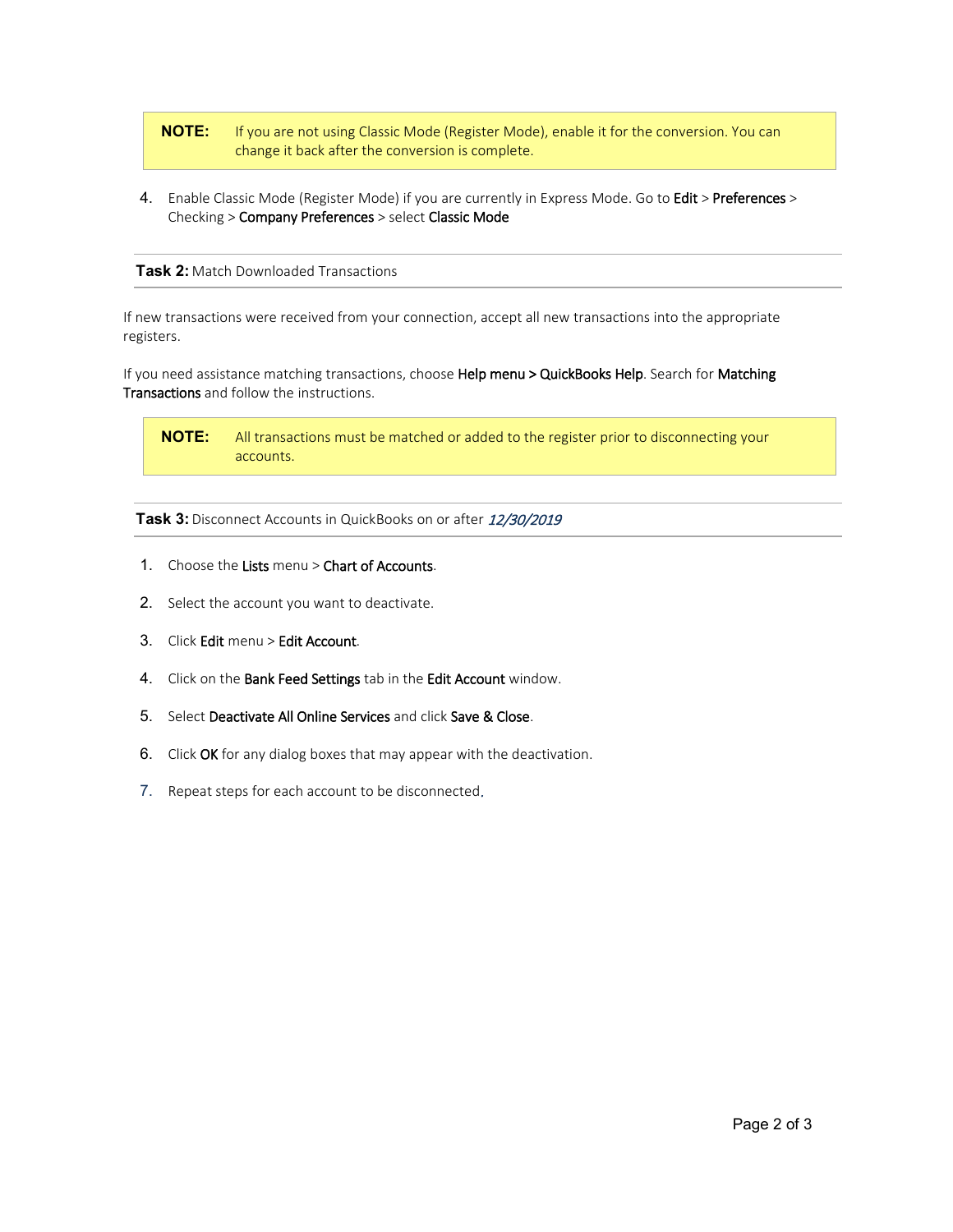**NOTE:** If you are not using Classic Mode (Register Mode), enable it for the conversion. You can change it back after the conversion is complete.

4. Enable Classic Mode (Register Mode) if you are currently in Express Mode. Go to Edit > Preferences > Checking > Company Preferences > select Classic Mode

**Task 2:** Match Downloaded Transactions

If new transactions were received from your connection, accept all new transactions into the appropriate registers.

If you need assistance matching transactions, choose Help menu > QuickBooks Help. Search for Matching Transactions and follow the instructions.

**NOTE:** All transactions must be matched or added to the register prior to disconnecting your accounts.

**Task 3:** Disconnect Accounts in QuickBooks on or after 12/30/2019

- 1. Choose the Lists menu > Chart of Accounts.
- 2. Select the account you want to deactivate.
- 3. Click Edit menu > Edit Account.
- 4. Click on the Bank Feed Settings tab in the Edit Account window.
- 5. Select Deactivate All Online Services and click Save & Close.
- 6. Click OK for any dialog boxes that may appear with the deactivation.
- 7. Repeat steps for each account to be disconnected.